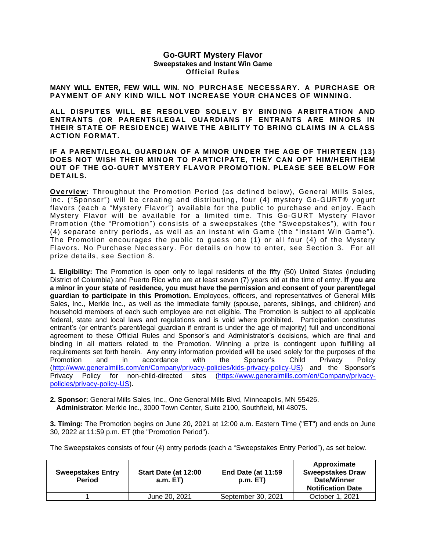#### **Go-GURT Mystery Flavor Sweepstakes and Instant Win Game Official Rules**

**MANY WILL ENTER, FEW WILL WIN. NO PURCHASE NECESSARY. A PURCHASE OR PAYMENT OF ANY KIND WILL NOT INCREASE YOUR CHANCES OF WINNING.** 

**ALL DISPUTES WILL BE RESOLVED SOLELY BY BINDING ARBITRATION AND ENTRANTS (OR PARENTS/LEGAL GUARDIANS IF ENTRANTS ARE MINORS IN THEIR STATE OF RESIDENCE) WAIVE THE ABILITY TO BRING CLAIMS IN A CLASS ACTION FORMAT.** 

#### **IF A PARENT/LEGAL GUARDIAN OF A MINOR UNDER THE AGE OF THIRTEEN (13) DOES NOT WISH THEIR MINOR TO PARTICIPATE, THEY CAN OPT HIM/HER/THEM OUT OF THE GO-GURT MYSTERY FLAVOR PROMOTION. PLEASE SEE BELOW FOR DETAILS.**

**Overview:** Throughout the Promotion Period (as defined below), General Mills Sales, Inc. ("Sponsor") will be creating and distributing, four (4) mystery Go-GURT® yogurt flavors (each a "Mystery Flavor") available for the public to purchase and enjoy. Each Mystery Flavor will be available for a limited time. This Go-GURT Mystery Flavor Promotion (the "Promotion") consists of a sweepstakes (the "Sweepstakes"), with four (4) separate entry periods, as well as an instant win Game (the "Instant Win Game"). The Promotion encourages the public to guess one (1) or all four (4) of the Mystery Flavors. No Purchase Necessary. For details on how to enter, see Section 3. For all prize details, see Section 8.

**1. Eligibility:** The Promotion is open only to legal residents of the fifty (50) United States (including District of Columbia) and Puerto Rico who are at least seven (7) years old at the time of entry. **If you are a minor in your state of residence, you must have the permission and consent of your parent/legal guardian to participate in this Promotion.** Employees, officers, and representatives of General Mills Sales, Inc., Merkle Inc., as well as the immediate family (spouse, parents, siblings, and children) and household members of each such employee are not eligible. The Promotion is subject to all applicable federal, state and local laws and regulations and is void where prohibited. Participation constitutes entrant's (or entrant's parent/legal guardian if entrant is under the age of majority) full and unconditional agreement to these Official Rules and Sponsor's and Administrator's decisions, which are final and binding in all matters related to the Promotion. Winning a prize is contingent upon fulfilling all requirements set forth herein. Any entry information provided will be used solely for the purposes of the Promotion and in accordance with the Sponsor's Child Privacy Policy [\(http://www.generalmills.com/en/Company/privacy-policies/kids-privacy-policy-US\)](http://www.generalmills.com/en/Company/privacy-policies/kids-privacy-policy-US) and the Sponsor's Privacy Policy for non-child-directed sites [\(https://www.generalmills.com/en/Company/privacy](https://www.generalmills.com/en/Company/privacy-policies/privacy-policy-US)[policies/privacy-policy-US\)](https://www.generalmills.com/en/Company/privacy-policies/privacy-policy-US).

**2. Sponsor:** General Mills Sales, Inc., One General Mills Blvd, Minneapolis, MN 55426. **Administrator**: Merkle Inc., 3000 Town Center, Suite 2100, Southfield, MI 48075.

**3. Timing:** The Promotion begins on June 20, 2021 at 12:00 a.m. Eastern Time ("ET") and ends on June 30, 2022 at 11:59 p.m. ET (the "Promotion Period").

The Sweepstakes consists of four (4) entry periods (each a "Sweepstakes Entry Period"), as set below.

| <b>Sweepstakes Entry</b><br><b>Period</b> | Start Date (at 12:00<br>a.m. E T | <b>End Date (at 11:59)</b><br>p.m. E T | Approximate<br><b>Sweepstakes Draw</b><br>Date/Winner<br><b>Notification Date</b> |
|-------------------------------------------|----------------------------------|----------------------------------------|-----------------------------------------------------------------------------------|
|                                           | June 20, 2021                    | September 30, 2021                     | October 1, 2021                                                                   |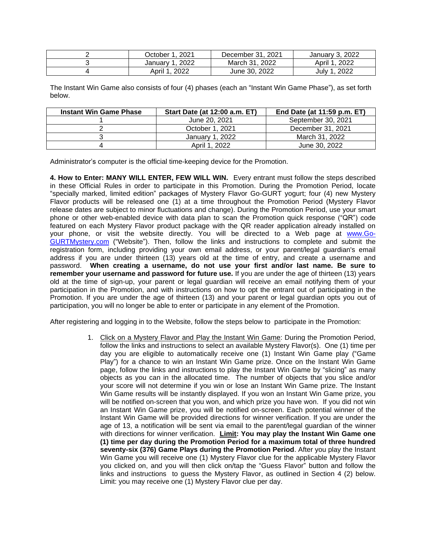| 2021<br>October 1          | December 31, 2021 | January 3, 2022 |
|----------------------------|-------------------|-----------------|
| 2022<br>January            | March 31<br>2022  | April 1<br>2022 |
| April <sup>1</sup><br>2022 | June 30, 2022     | 2022<br>July 1  |

The Instant Win Game also consists of four (4) phases (each an "Instant Win Game Phase"), as set forth below.

| <b>Instant Win Game Phase</b> | <b>Start Date (at 12:00 a.m. ET)</b> | End Date (at 11:59 p.m. ET) |
|-------------------------------|--------------------------------------|-----------------------------|
|                               | June 20, 2021                        | September 30, 2021          |
|                               | October 1, 2021                      | December 31, 2021           |
|                               | January 1, 2022                      | March 31, 2022              |
|                               | April 1, 2022                        | June 30, 2022               |

Administrator's computer is the official time-keeping device for the Promotion.

**4. How to Enter: MANY WILL ENTER, FEW WILL WIN.** Every entrant must follow the steps described in these Official Rules in order to participate in this Promotion. During the Promotion Period, locate "specially marked, limited edition" packages of Mystery Flavor Go-GURT yogurt; four (4) new Mystery Flavor products will be released one (1) at a time throughout the Promotion Period (Mystery Flavor release dates are subject to minor fluctuations and change). During the Promotion Period, use your smart phone or other web-enabled device with data plan to scan the Promotion quick response ("QR") code featured on each Mystery Flavor product package with the QR reader application already installed on your phone, or visit the website directly. You will be directed to a Web page at [www.Go-](http://www.go-gurtmystery.com/)[GURTMystery.com](http://www.go-gurtmystery.com/) ("Website"). Then, follow the links and instructions to complete and submit the registration form, including providing your own email address, or your parent/legal guardian's email address if you are under thirteen (13) years old at the time of entry, and create a username and password. **When creating a username, do not use your first and/or last name. Be sure to remember your username and password for future use.** If you are under the age of thirteen (13) years old at the time of sign-up, your parent or legal guardian will receive an email notifying them of your participation in the Promotion, and with instructions on how to opt the entrant out of participating in the Promotion. If you are under the age of thirteen (13) and your parent or legal guardian opts you out of participation, you will no longer be able to enter or participate in any element of the Promotion.

After registering and logging in to the Website, follow the steps below to participate in the Promotion:

1. Click on a Mystery Flavor and Play the Instant Win Game: During the Promotion Period, follow the links and instructions to select an available Mystery Flavor(s). One (1) time per day you are eligible to automatically receive one (1) Instant Win Game play ("Game Play") for a chance to win an Instant Win Game prize. Once on the Instant Win Game page, follow the links and instructions to play the Instant Win Game by "slicing" as many objects as you can in the allocated time. The number of objects that you slice and/or your score will not determine if you win or lose an Instant Win Game prize. The Instant Win Game results will be instantly displayed. If you won an Instant Win Game prize, you will be notified on-screen that you won, and which prize you have won. If you did not win an Instant Win Game prize, you will be notified on-screen. Each potential winner of the Instant Win Game will be provided directions for winner verification. If you are under the age of 13, a notification will be sent via email to the parent/legal guardian of the winner with directions for winner verification. **Limit: You may play the Instant Win Game one (1) time per day during the Promotion Period for a maximum total of three hundred seventy-six (376) Game Plays during the Promotion Period**. After you play the Instant Win Game you will receive one (1) Mystery Flavor clue for the applicable Mystery Flavor you clicked on, and you will then click on/tap the "Guess Flavor" button and follow the links and instructions to guess the Mystery Flavor, as outlined in Section 4 (2) below. Limit: you may receive one (1) Mystery Flavor clue per day.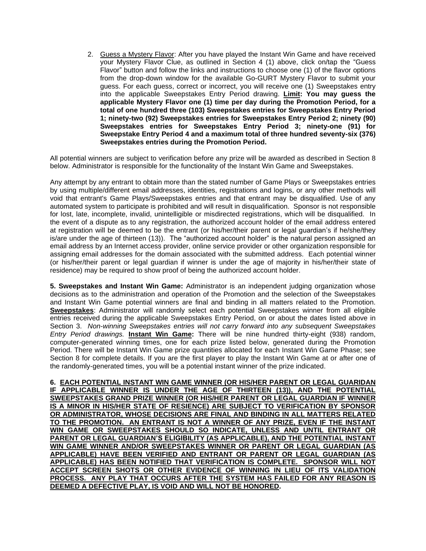2. Guess a Mystery Flavor: After you have played the Instant Win Game and have received your Mystery Flavor Clue, as outlined in Section 4 (1) above, click on/tap the "Guess Flavor" button and follow the links and instructions to choose one (1) of the flavor options from the drop-down window for the available Go-GURT Mystery Flavor to submit your guess. For each guess, correct or incorrect, you will receive one (1) Sweepstakes entry into the applicable Sweepstakes Entry Period drawing. **Limit: You may guess the applicable Mystery Flavor one (1) time per day during the Promotion Period, for a total of one hundred three (103) Sweepstakes entries for Sweepstakes Entry Period 1; ninety-two (92) Sweepstakes entries for Sweepstakes Entry Period 2; ninety (90) Sweepstakes entries for Sweepstakes Entry Period 3; ninety-one (91) for Sweepstake Entry Period 4 and a maximum total of three hundred seventy-six (376) Sweepstakes entries during the Promotion Period.**

All potential winners are subject to verification before any prize will be awarded as described in Section 8 below. Administrator is responsible for the functionality of the Instant Win Game and Sweepstakes.

Any attempt by any entrant to obtain more than the stated number of Game Plays or Sweepstakes entries by using multiple/different email addresses, identities, registrations and logins, or any other methods will void that entrant's Game Plays/Sweepstakes entries and that entrant may be disqualified. Use of any automated system to participate is prohibited and will result in disqualification. Sponsor is not responsible for lost, late, incomplete, invalid, unintelligible or misdirected registrations, which will be disqualified. In the event of a dispute as to any registration, the authorized account holder of the email address entered at registration will be deemed to be the entrant (or his/her/their parent or legal guardian's if he/she/they is/are under the age of thirteen (13)). The "authorized account holder" is the natural person assigned an email address by an Internet access provider, online service provider or other organization responsible for assigning email addresses for the domain associated with the submitted address. Each potential winner (or his/her/their parent or legal guardian if winner is under the age of majority in his/her/their state of residence) may be required to show proof of being the authorized account holder.

**5. Sweepstakes and Instant Win Game:** Administrator is an independent judging organization whose decisions as to the administration and operation of the Promotion and the selection of the Sweepstakes and Instant Win Game potential winners are final and binding in all matters related to the Promotion. **Sweepstakes**: Administrator will randomly select each potential Sweepstakes winner from all eligible entries received during the applicable Sweepstakes Entry Period, on or about the dates listed above in Section 3. *Non-winning Sweepstakes entries will not carry forward into any subsequent Sweepstakes Entry Period drawings.* **Instant Win Game:** There will be nine hundred thirty-eight (938) random, computer-generated winning times, one for each prize listed below, generated during the Promotion Period. There will be Instant Win Game prize quantities allocated for each Instant Win Game Phase; see Section 8 for complete details. If you are the first player to play the Instant Win Game at or after one of the randomly-generated times, you will be a potential instant winner of the prize indicated.

**6. EACH POTENTIAL INSTANT WIN GAME WINNER (OR HIS/HER PARENT OR LEGAL GUARIDAN IF APPLICABLE WINNER IS UNDER THE AGE OF THIRTEEN (13)), AND THE POTENTIAL SWEEPSTAKES GRAND PRIZE WINNER (OR HIS/HER PARENT OR LEGAL GUARDIAN IF WINNER IS A MINOR IN HIS/HER STATE OF RESIENCE) ARE SUBJECT TO VERIFICATION BY SPONSOR OR ADMINISTRATOR, WHOSE DECISIONS ARE FINAL AND BINDING IN ALL MATTERS RELATED TO THE PROMOTION. AN ENTRANT IS NOT A WINNER OF ANY PRIZE, EVEN IF THE INSTANT WIN GAME OR SWEEPSTAKES SHOULD SO INDICATE, UNLESS AND UNTIL ENTRANT OR PARENT OR LEGAL GUARDIAN'S ELIGIBILITY (AS APPLICABLE), AND THE POTENTIAL INSTANT WIN GAME WINNER AND/OR SWEEPSTAKES WINNER OR PARENT OR LEGAL GUARDIAN (AS APPLICABLE) HAVE BEEN VERIFIED AND ENTRANT OR PARENT OR LEGAL GUARDIAN (AS APPLICABLE) HAS BEEN NOTIFIED THAT VERIFICATION IS COMPLETE. SPONSOR WILL NOT ACCEPT SCREEN SHOTS OR OTHER EVIDENCE OF WINNING IN LIEU OF ITS VALIDATION PROCESS. ANY PLAY THAT OCCURS AFTER THE SYSTEM HAS FAILED FOR ANY REASON IS DEEMED A DEFECTIVE PLAY, IS VOID AND WILL NOT BE HONORED.**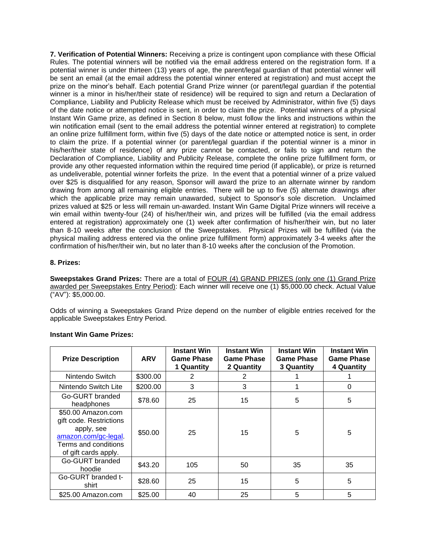**7. Verification of Potential Winners:** Receiving a prize is contingent upon compliance with these Official Rules. The potential winners will be notified via the email address entered on the registration form. If a potential winner is under thirteen (13) years of age, the parent/legal guardian of that potential winner will be sent an email (at the email address the potential winner entered at registration) and must accept the prize on the minor's behalf. Each potential Grand Prize winner (or parent/legal guardian if the potential winner is a minor in his/her/their state of residence) will be required to sign and return a Declaration of Compliance, Liability and Publicity Release which must be received by Administrator, within five (5) days of the date notice or attempted notice is sent, in order to claim the prize. Potential winners of a physical Instant Win Game prize, as defined in Section 8 below, must follow the links and instructions within the win notification email (sent to the email address the potential winner entered at registration) to complete an online prize fulfillment form, within five (5) days of the date notice or attempted notice is sent, in order to claim the prize. If a potential winner (or parent/legal guardian if the potential winner is a minor in his/her/their state of residence) of any prize cannot be contacted, or fails to sign and return the Declaration of Compliance, Liability and Publicity Release, complete the online prize fulfillment form, or provide any other requested information within the required time period (if applicable), or prize is returned as undeliverable, potential winner forfeits the prize. In the event that a potential winner of a prize valued over \$25 is disqualified for any reason, Sponsor will award the prize to an alternate winner by random drawing from among all remaining eligible entries. There will be up to five (5) alternate drawings after which the applicable prize may remain unawarded, subject to Sponsor's sole discretion. Unclaimed prizes valued at \$25 or less will remain un-awarded. Instant Win Game Digital Prize winners will receive a win email within twenty-four (24) of his/her/their win, and prizes will be fulfilled (via the email address entered at registration) approximately one (1) week after confirmation of his/her/their win, but no later than 8-10 weeks after the conclusion of the Sweepstakes. Physical Prizes will be fulfilled (via the physical mailing address entered via the online prize fulfillment form) approximately 3-4 weeks after the confirmation of his/her/their win, but no later than 8-10 weeks after the conclusion of the Promotion.

## **8. Prizes:**

**Sweepstakes Grand Prizes:** There are a total of FOUR (4) GRAND PRIZES (only one (1) Grand Prize awarded per Sweepstakes Entry Period): Each winner will receive one (1) \$5,000.00 check. Actual Value ("AV"): \$5,000.00.

Odds of winning a Sweepstakes Grand Prize depend on the number of eligible entries received for the applicable Sweepstakes Entry Period.

| <b>Prize Description</b>                                                                                                            | <b>ARV</b> | <b>Instant Win</b><br><b>Game Phase</b><br>1 Quantity | <b>Instant Win</b><br><b>Game Phase</b><br>2 Quantity | <b>Instant Win</b><br><b>Game Phase</b><br><b>3 Quantity</b> | <b>Instant Win</b><br><b>Game Phase</b><br>4 Quantity |
|-------------------------------------------------------------------------------------------------------------------------------------|------------|-------------------------------------------------------|-------------------------------------------------------|--------------------------------------------------------------|-------------------------------------------------------|
| Nintendo Switch                                                                                                                     | \$300.00   | 2                                                     | 2                                                     |                                                              |                                                       |
| Nintendo Switch Lite                                                                                                                | \$200.00   | 3                                                     | 3                                                     |                                                              | $\Omega$                                              |
| Go-GURT branded<br>headphones                                                                                                       | \$78.60    | 25                                                    | 15                                                    | 5                                                            | 5                                                     |
| \$50.00 Amazon.com<br>gift code. Restrictions<br>apply, see<br>amazon.com/gc-legal.<br>Terms and conditions<br>of gift cards apply. | \$50.00    | 25                                                    | 15                                                    | 5                                                            | 5                                                     |
| Go-GURT branded<br>hoodie                                                                                                           | \$43.20    | 105                                                   | 50                                                    | 35                                                           | 35                                                    |
| Go-GURT branded t-<br>shirt                                                                                                         | \$28.60    | 25                                                    | 15                                                    | 5                                                            | 5                                                     |
| \$25.00 Amazon.com                                                                                                                  | \$25.00    | 40                                                    | 25                                                    | 5                                                            | 5                                                     |

#### **Instant Win Game Prizes:**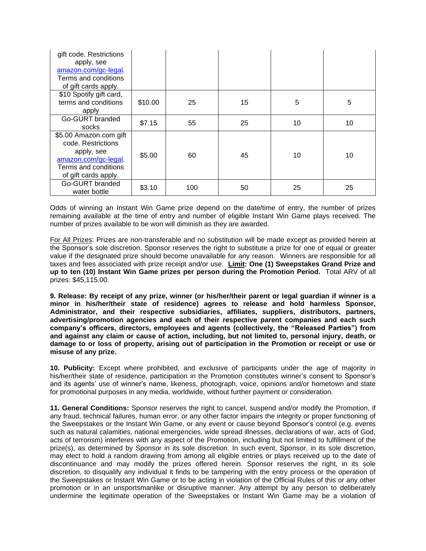| gift code. Restrictions<br>apply, see<br>amazon.com/gc-legal.<br>Terms and conditions<br>of gift cards apply.                      |         |     |    |    |    |
|------------------------------------------------------------------------------------------------------------------------------------|---------|-----|----|----|----|
| \$10 Spotify gift card,<br>terms and conditions<br>apply                                                                           | \$10.00 | 25  | 15 | 5  | 5  |
| Go-GURT branded<br>socks                                                                                                           | \$7.15  | 55  | 25 | 10 | 10 |
| \$5.00 Amazon.com gift<br>code. Restrictions<br>apply, see<br>amazon.com/gc-legal.<br>Terms and conditions<br>of gift cards apply. | \$5.00  | 60  | 45 | 10 | 10 |
| Go-GURT branded<br>water bottle                                                                                                    | \$3.10  | 100 | 50 | 25 | 25 |

Odds of winning an Instant Win Game prize depend on the date/time of entry, the number of prizes remaining available at the time of entry and number of eligible Instant Win Game plays received. The number of prizes available to be won will diminish as they are awarded.

For All Prizes: Prizes are non-transferable and no substitution will be made except as provided herein at the Sponsor's sole discretion. Sponsor reserves the right to substitute a prize for one of equal or greater value if the designated prize should become unavailable for any reason. Winners are responsible for all taxes and fees associated with prize receipt and/or use. **Limit: One (1) Sweepstakes Grand Prize and up to ten (10) Instant Win Game prizes per person during the Promotion Period.** Total ARV of all prizes: \$45,115.00.

**9. Release: By receipt of any prize, winner (or his/her/their parent or legal guardian if winner is a minor in his/her/their state of residence) agrees to release and hold harmless Sponsor, Administrator, and their respective subsidiaries, affiliates, suppliers, distributors, partners, advertising/promotion agencies and each of their respective parent companies and each such company's officers, directors, employees and agents (collectively, the "Released Parties") from and against any claim or cause of action, including, but not limited to, personal injury, death, or damage to or loss of property, arising out of participation in the Promotion or receipt or use or misuse of any prize.** 

**10. Publicity:** Except where prohibited, and exclusive of participants under the age of majority in his/her/their state of residence, participation in the Promotion constitutes winner's consent to Sponsor's and its agents' use of winner's name, likeness, photograph, voice, opinions and/or hometown and state for promotional purposes in any media, worldwide, without further payment or consideration.

**11. General Conditions:** Sponsor reserves the right to cancel, suspend and/or modify the Promotion, if any fraud, technical failures, human error, or any other factor impairs the integrity or proper functioning of the Sweepstakes or the Instant Win Game, or any event or cause beyond Sponsor's control (e.g. events such as natural calamities, national emergencies, wide spread illnesses, declarations of war, acts of God, acts of terrorism) interferes with any aspect of the Promotion, including but not limited to fulfillment of the prize(s), as determined by Sponsor in its sole discretion. In such event, Sponsor, in its sole discretion, may elect to hold a random drawing from among all eligible entries or plays received up to the date of discontinuance and may modify the prizes offered herein. Sponsor reserves the right, in its sole discretion, to disqualify any individual it finds to be tampering with the entry process or the operation of the Sweepstakes or Instant Win Game or to be acting in violation of the Official Rules of this or any other promotion or in an unsportsmanlike or disruptive manner. Any attempt by any person to deliberately undermine the legitimate operation of the Sweepstakes or Instant Win Game may be a violation of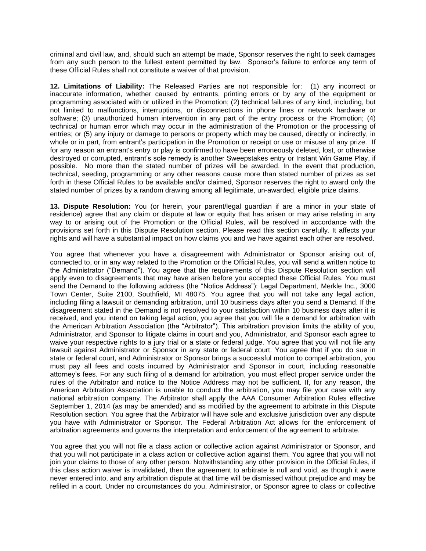criminal and civil law, and, should such an attempt be made, Sponsor reserves the right to seek damages from any such person to the fullest extent permitted by law. Sponsor's failure to enforce any term of these Official Rules shall not constitute a waiver of that provision.

**12. Limitations of Liability:** The Released Parties are not responsible for: (1) any incorrect or inaccurate information, whether caused by entrants, printing errors or by any of the equipment or programming associated with or utilized in the Promotion; (2) technical failures of any kind, including, but not limited to malfunctions, interruptions, or disconnections in phone lines or network hardware or software; (3) unauthorized human intervention in any part of the entry process or the Promotion; (4) technical or human error which may occur in the administration of the Promotion or the processing of entries; or (5) any injury or damage to persons or property which may be caused, directly or indirectly, in whole or in part, from entrant's participation in the Promotion or receipt or use or misuse of any prize. If for any reason an entrant's entry or play is confirmed to have been erroneously deleted, lost, or otherwise destroyed or corrupted, entrant's sole remedy is another Sweepstakes entry or Instant Win Game Play, if possible. No more than the stated number of prizes will be awarded. In the event that production, technical, seeding, programming or any other reasons cause more than stated number of prizes as set forth in these Official Rules to be available and/or claimed, Sponsor reserves the right to award only the stated number of prizes by a random drawing among all legitimate, un-awarded, eligible prize claims.

**13. Dispute Resolution:** You (or herein, your parent/legal guardian if are a minor in your state of residence) agree that any claim or dispute at law or equity that has arisen or may arise relating in any way to or arising out of the Promotion or the Official Rules, will be resolved in accordance with the provisions set forth in this Dispute Resolution section. Please read this section carefully. It affects your rights and will have a substantial impact on how claims you and we have against each other are resolved.

You agree that whenever you have a disagreement with Administrator or Sponsor arising out of, connected to, or in any way related to the Promotion or the Official Rules, you will send a written notice to the Administrator ("Demand"). You agree that the requirements of this Dispute Resolution section will apply even to disagreements that may have arisen before you accepted these Official Rules. You must send the Demand to the following address (the "Notice Address"): Legal Department, Merkle Inc., 3000 Town Center, Suite 2100, Southfield, MI 48075. You agree that you will not take any legal action, including filing a lawsuit or demanding arbitration, until 10 business days after you send a Demand. If the disagreement stated in the Demand is not resolved to your satisfaction within 10 business days after it is received, and you intend on taking legal action, you agree that you will file a demand for arbitration with the American Arbitration Association (the "Arbitrator"). This arbitration provision limits the ability of you, Administrator, and Sponsor to litigate claims in court and you, Administrator, and Sponsor each agree to waive your respective rights to a jury trial or a state or federal judge. You agree that you will not file any lawsuit against Administrator or Sponsor in any state or federal court. You agree that if you do sue in state or federal court, and Administrator or Sponsor brings a successful motion to compel arbitration, you must pay all fees and costs incurred by Administrator and Sponsor in court, including reasonable attorney's fees. For any such filing of a demand for arbitration, you must effect proper service under the rules of the Arbitrator and notice to the Notice Address may not be sufficient. If, for any reason, the American Arbitration Association is unable to conduct the arbitration, you may file your case with any national arbitration company. The Arbitrator shall apply the AAA Consumer Arbitration Rules effective September 1, 2014 (as may be amended) and as modified by the agreement to arbitrate in this Dispute Resolution section. You agree that the Arbitrator will have sole and exclusive jurisdiction over any dispute you have with Administrator or Sponsor. The Federal Arbitration Act allows for the enforcement of arbitration agreements and governs the interpretation and enforcement of the agreement to arbitrate.

You agree that you will not file a class action or collective action against Administrator or Sponsor, and that you will not participate in a class action or collective action against them. You agree that you will not join your claims to those of any other person. Notwithstanding any other provision in the Official Rules, if this class action waiver is invalidated, then the agreement to arbitrate is null and void, as though it were never entered into, and any arbitration dispute at that time will be dismissed without prejudice and may be refiled in a court. Under no circumstances do you, Administrator, or Sponsor agree to class or collective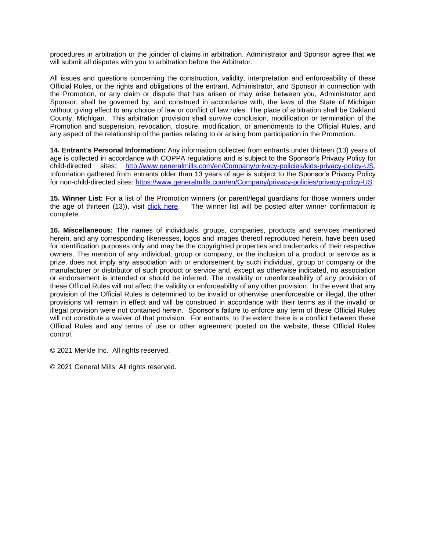procedures in arbitration or the joinder of claims in arbitration. Administrator and Sponsor agree that we will submit all disputes with you to arbitration before the Arbitrator.

All issues and questions concerning the construction, validity, interpretation and enforceability of these Official Rules, or the rights and obligations of the entrant, Administrator, and Sponsor in connection with the Promotion, or any claim or dispute that has arisen or may arise between you, Administrator and Sponsor, shall be governed by, and construed in accordance with, the laws of the State of Michigan without giving effect to any choice of law or conflict of law rules. The place of arbitration shall be Oakland County, Michigan. This arbitration provision shall survive conclusion, modification or termination of the Promotion and suspension, revocation, closure, modification, or amendments to the Official Rules, and any aspect of the relationship of the parties relating to or arising from participation in the Promotion.

**14. Entrant's Personal Information:** Any information collected from entrants under thirteen (13) years of age is collected in accordance with COPPA regulations and is subject to the Sponsor's Privacy Policy for child-directed sites: [http://www.generalmills.com/en/Company/privacy-policies/kids-privacy-policy-US,](http://www.generalmills.com/en/Company/privacy-policies/kids-privacy-policy-US) Information gathered from entrants older than 13 years of age is subject to the Sponsor's Privacy Policy for non-child-directed sites: [https://www.generalmills.com/en/Company/privacy-policies/privacy-policy-US.](https://www.generalmills.com/en/Company/privacy-policies/privacy-policy-US)

**15. Winner List:** For a list of the Promotion winners (or parent/legal guardians for those winners under the age of thirteen (13)), visit [click here.](https://winlists.helloworld.com/252586.pdf) The winner list will be posted after winner confirmation is complete.

**16. Miscellaneous:** The names of individuals, groups, companies, products and services mentioned herein, and any corresponding likenesses, logos and images thereof reproduced herein, have been used for identification purposes only and may be the copyrighted properties and trademarks of their respective owners. The mention of any individual, group or company, or the inclusion of a product or service as a prize, does not imply any association with or endorsement by such individual, group or company or the manufacturer or distributor of such product or service and, except as otherwise indicated, no association or endorsement is intended or should be inferred. The invalidity or unenforceability of any provision of these Official Rules will not affect the validity or enforceability of any other provision. In the event that any provision of the Official Rules is determined to be invalid or otherwise unenforceable or illegal, the other provisions will remain in effect and will be construed in accordance with their terms as if the invalid or illegal provision were not contained herein. Sponsor's failure to enforce any term of these Official Rules will not constitute a waiver of that provision. For entrants, to the extent there is a conflict between these Official Rules and any terms of use or other agreement posted on the website, these Official Rules control.

© 2021 Merkle Inc. All rights reserved.

© 2021 General Mills. All rights reserved.